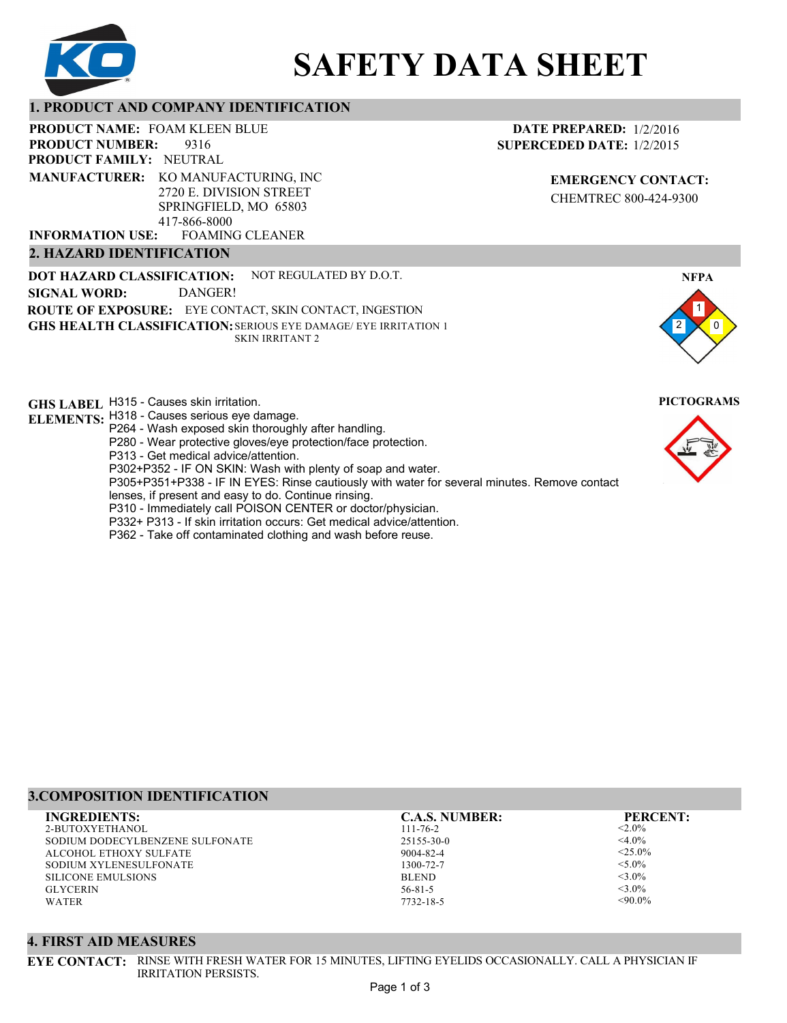

# **SAFETY DATA SHEET**

## **1. PRODUCT AND COMPANY IDENTIFICATION**

PRODUCT NAME: FOAM KLEEN BLUE

9316 **PRODUCT FAMILY: NEUTRAL PRODUCT NUMBER: MANUFACTURER:** KO MANUFACTURING, INC

2720 E. DIVISION STREET SPRINGFIELD, MO 65803 417-866-8000

FOAMING CLEANER **INFORMATION USE:**

# **2. HAZARD IDENTIFICATION**

**DOT HAZARD CLASSIFICATION: GHS HEALTH CLASSIFICATION:** SERIOUS EYE DAMAGE/ EYE IRRITATION 1 **ROUTE OF EXPOSURE:** EYE CONTACT, SKIN CONTACT, INGESTION NOT REGULATED BY D.O.T. SKIN IRRITANT 2 **SIGNAL WORD:** DANGER!

**GHS LABEL**  H315 - Causes skin irritation. **PICTOGRAMS**

- **ELEMENTS:** H318 Causes serious eye damage. P264 - Wash exposed skin thoroughly after handling.
	- P280 Wear protective gloves/eye protection/face protection.

P313 - Get medical advice/attention.

P302+P352 - IF ON SKIN: Wash with plenty of soap and water.

P305+P351+P338 - IF IN EYES: Rinse cautiously with water for several minutes. Remove contact

- lenses, if present and easy to do. Continue rinsing.
- P310 Immediately call POISON CENTER or doctor/physician.
- P332+ P313 If skin irritation occurs: Get medical advice/attention.
- P362 Take off contaminated clothing and wash before reuse.

# **DATE PREPARED:** 1/2/2016 **SUPERCEDED DATE:** 1/2/2015

**EMERGENCY CONTACT:** CHEMTREC 800-424-9300





# **3.COMPOSITION IDENTIFICATION**

2-BUTOXYETHANOL SODIUM DODECYLBENZENE SULFONATE ALCOHOL ETHOXY SULFATE SODIUM XYLENESULFONATE SILICONE EMULSIONS GLYCERIN WATER **INGREDIENTS: C.A.S. NUMBER: PERCENT:**

111-76-2 25155-30-0 9004-82-4 1300-72-7 BLEND 56-81-5

7732-18-5

 $< 2.0\%$  $<$ 4.0%  $<$ 25.0%  $<$ 5.0%  $<$ 3.0%  $<$ 3.0%  $<90.0\%$ 

#### **4. FIRST AID MEASURES**

**EYE CONTACT:** RINSE WITH FRESH WATER FOR 15 MINUTES, LIFTING EYELIDS OCCASIONALLY. CALL A PHYSICIAN IF IRRITATION PERSISTS.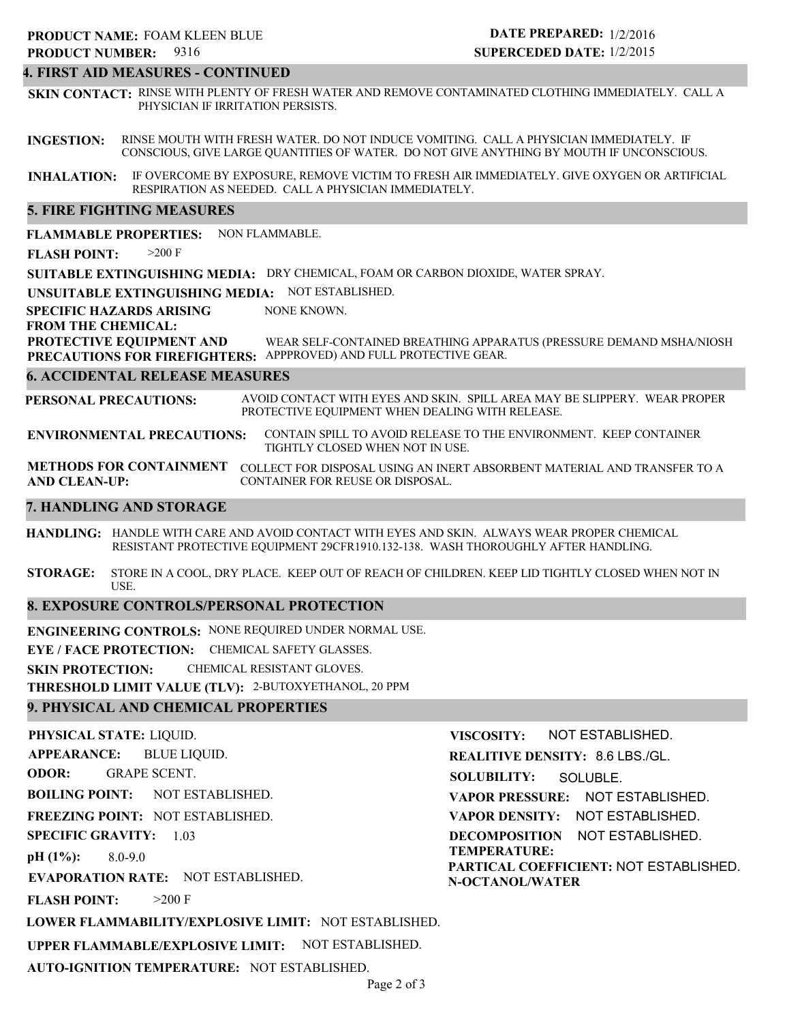#### **4. FIRST AID MEASURES - CONTINUED**

**SKIN CONTACT:** RINSE WITH PLENTY OF FRESH WATER AND REMOVE CONTAMINATED CLOTHING IMMEDIATELY. CALL A PHYSICIAN IF IRRITATION PERSISTS.

**INGESTION:** RINSE MOUTH WITH FRESH WATER. DO NOT INDUCE VOMITING. CALL A PHYSICIAN IMMEDIATELY. IF CONSCIOUS, GIVE LARGE QUANTITIES OF WATER. DO NOT GIVE ANYTHING BY MOUTH IF UNCONSCIOUS.

**INHALATION:** IF OVERCOME BY EXPOSURE, REMOVE VICTIM TO FRESH AIR IMMEDIATELY. GIVE OXYGEN OR ARTIFICIAL RESPIRATION AS NEEDED. CALL A PHYSICIAN IMMEDIATELY.

#### **5. FIRE FIGHTING MEASURES**

**FLAMMABLE PROPERTIES:** NON FLAMMABLE.

**FLASH POINT:** >200 F

**SUITABLE EXTINGUISHING MEDIA:** DRY CHEMICAL, FOAM OR CARBON DIOXIDE, WATER SPRAY.

**UNSUITABLE EXTINGUISHING MEDIA:** NOT ESTABLISHED.

**SPECIFIC HAZARDS ARISING** NONE KNOWN.

#### **FROM THE CHEMICAL:**

**PROTECTIVE EQUIPMENT AND PRECAUTIONS FOR FIREFIGHTERS:** APPPROVED) AND FULL PROTECTIVE GEAR. WEAR SELF-CONTAINED BREATHING APPARATUS (PRESSURE DEMAND MSHA/NIOSH

#### **6. ACCIDENTAL RELEASE MEASURES**

**PERSONAL PRECAUTIONS:** AVOID CONTACT WITH EYES AND SKIN. SPILL AREA MAY BE SLIPPERY. WEAR PROPER PROTECTIVE EQUIPMENT WHEN DEALING WITH RELEASE.

**ENVIRONMENTAL PRECAUTIONS:** CONTAIN SPILL TO AVOID RELEASE TO THE ENVIRONMENT. KEEP CONTAINER TIGHTLY CLOSED WHEN NOT IN USE.

**METHODS FOR CONTAINMENT** COLLECT FOR DISPOSAL USING AN INERT ABSORBENT MATERIAL AND TRANSFER TO A **AND CLEAN-UP:** CONTAINER FOR REUSE OR DISPOSAL.

#### **7. HANDLING AND STORAGE**

**HANDLING:** HANDLE WITH CARE AND AVOID CONTACT WITH EYES AND SKIN. ALWAYS WEAR PROPER CHEMICAL RESISTANT PROTECTIVE EQUIPMENT 29CFR1910.132-138. WASH THOROUGHLY AFTER HANDLING.

**STORAGE:** STORE IN A COOL, DRY PLACE. KEEP OUT OF REACH OF CHILDREN. KEEP LID TIGHTLY CLOSED WHEN NOT IN USE.

#### **8. EXPOSURE CONTROLS/PERSONAL PROTECTION**

**ENGINEERING CONTROLS:** NONE REQUIRED UNDER NORMAL USE.

**EYE / FACE PROTECTION:** CHEMICAL SAFETY GLASSES.

**SKIN PROTECTION:** CHEMICAL RESISTANT GLOVES.

**THRESHOLD LIMIT VALUE (TLV):** 2-BUTOXYETHANOL, 20 PPM

#### **9. PHYSICAL AND CHEMICAL PROPERTIES**

**PHYSICAL STATE:** LIQUID. **APPEARANCE: ODOR: BOILING POINT:** NOT ESTABLISHED. **FREEZING POINT:** NOT ESTABLISHED. **SPECIFIC GRAVITY:** 1.03 **pH (1%): EVAPORATION RATE:** NOT ESTABLISHED. **FLASH POINT: LOWER FLAMMABILITY/EXPLOSIVE LIMIT:** NOT ESTABLISHED. **UPPER FLAMMABLE/EXPLOSIVE LIMIT:** NOT ESTABLISHED. 8.0-9.0  $>200$  F BLUE LIQUID. GRAPE SCENT. **VISCOSITY: REALITIVE DENSITY:** 8.6 LBS./GL. **SOLUBILITY: VAPOR PRESSURE:** NOT ESTABLISHED. **VAPOR DENSITY:** NOT ESTABLISHED. **DECOMPOSITION** NOT ESTABLISHED. **TEMPERATURE: PARTICAL COEFFICIENT:** NOT ESTABLISHED. **N-OCTANOL/WATER** NOT ESTABLISHED. SOLUBLE.

**AUTO-IGNITION TEMPERATURE:** NOT ESTABLISHED.